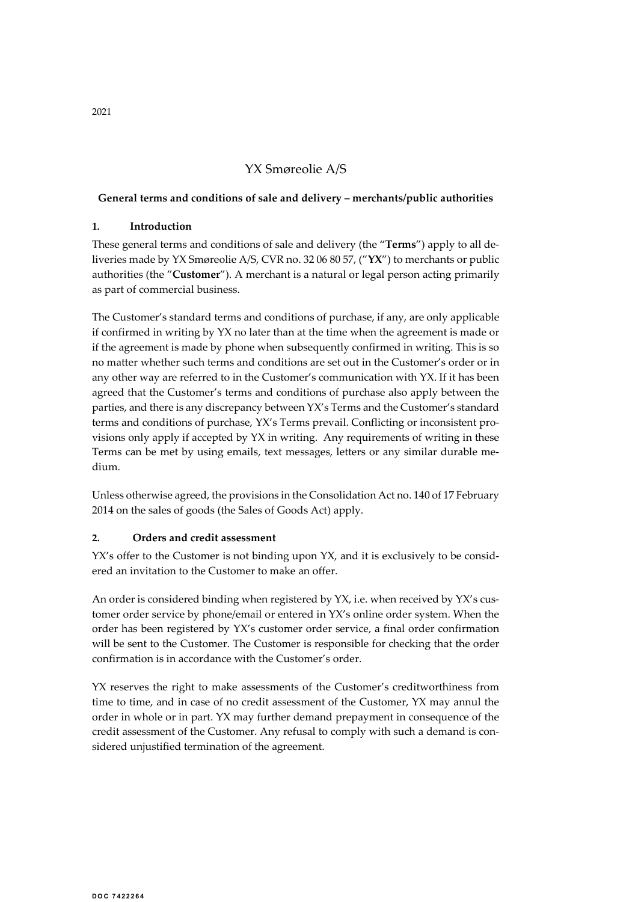# YX Smøreolie A/S

#### General terms and conditions of sale and delivery – merchants/public authorities

## 1. Introduction

These general terms and conditions of sale and delivery (the "Terms") apply to all deliveries made by YX Smøreolie A/S, CVR no. 32 06 80 57, ("YX") to merchants or public authorities (the "Customer"). A merchant is a natural or legal person acting primarily as part of commercial business.

The Customer's standard terms and conditions of purchase, if any, are only applicable if confirmed in writing by YX no later than at the time when the agreement is made or if the agreement is made by phone when subsequently confirmed in writing. This is so no matter whether such terms and conditions are set out in the Customer's order or in any other way are referred to in the Customer's communication with YX. If it has been agreed that the Customer's terms and conditions of purchase also apply between the parties, and there is any discrepancy between YX's Terms and the Customer's standard terms and conditions of purchase, YX's Terms prevail. Conflicting or inconsistent provisions only apply if accepted by YX in writing. Any requirements of writing in these Terms can be met by using emails, text messages, letters or any similar durable medium.

Unless otherwise agreed, the provisions in the Consolidation Act no. 140 of 17 February 2014 on the sales of goods (the Sales of Goods Act) apply.

#### 2. Orders and credit assessment

YX's offer to the Customer is not binding upon YX, and it is exclusively to be considered an invitation to the Customer to make an offer.

An order is considered binding when registered by YX, i.e. when received by YX's customer order service by phone/email or entered in YX's online order system. When the order has been registered by YX's customer order service, a final order confirmation will be sent to the Customer. The Customer is responsible for checking that the order confirmation is in accordance with the Customer's order.

YX reserves the right to make assessments of the Customer's creditworthiness from time to time, and in case of no credit assessment of the Customer, YX may annul the order in whole or in part. YX may further demand prepayment in consequence of the credit assessment of the Customer. Any refusal to comply with such a demand is considered unjustified termination of the agreement.

2021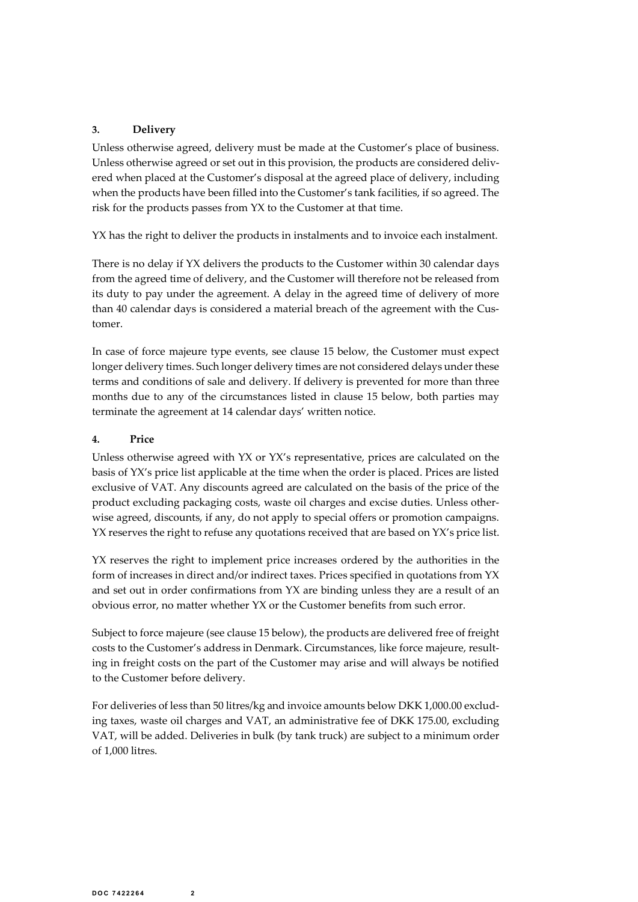## 3. Delivery

Unless otherwise agreed, delivery must be made at the Customer's place of business. Unless otherwise agreed or set out in this provision, the products are considered delivered when placed at the Customer's disposal at the agreed place of delivery, including when the products have been filled into the Customer's tank facilities, if so agreed. The risk for the products passes from YX to the Customer at that time.

YX has the right to deliver the products in instalments and to invoice each instalment.

There is no delay if YX delivers the products to the Customer within 30 calendar days from the agreed time of delivery, and the Customer will therefore not be released from its duty to pay under the agreement. A delay in the agreed time of delivery of more than 40 calendar days is considered a material breach of the agreement with the Customer.

In case of force majeure type events, see clause 15 below, the Customer must expect longer delivery times. Such longer delivery times are not considered delays under these terms and conditions of sale and delivery. If delivery is prevented for more than three months due to any of the circumstances listed in clause 15 below, both parties may terminate the agreement at 14 calendar days' written notice.

## 4. Price

Unless otherwise agreed with YX or YX's representative, prices are calculated on the basis of YX's price list applicable at the time when the order is placed. Prices are listed exclusive of VAT. Any discounts agreed are calculated on the basis of the price of the product excluding packaging costs, waste oil charges and excise duties. Unless otherwise agreed, discounts, if any, do not apply to special offers or promotion campaigns. YX reserves the right to refuse any quotations received that are based on YX's price list.

YX reserves the right to implement price increases ordered by the authorities in the form of increases in direct and/or indirect taxes. Prices specified in quotations from YX and set out in order confirmations from YX are binding unless they are a result of an obvious error, no matter whether YX or the Customer benefits from such error.

Subject to force majeure (see clause 15 below), the products are delivered free of freight costs to the Customer's address in Denmark. Circumstances, like force majeure, resulting in freight costs on the part of the Customer may arise and will always be notified to the Customer before delivery.

For deliveries of less than 50 litres/kg and invoice amounts below DKK 1,000.00 excluding taxes, waste oil charges and VAT, an administrative fee of DKK 175.00, excluding VAT, will be added. Deliveries in bulk (by tank truck) are subject to a minimum order of 1,000 litres.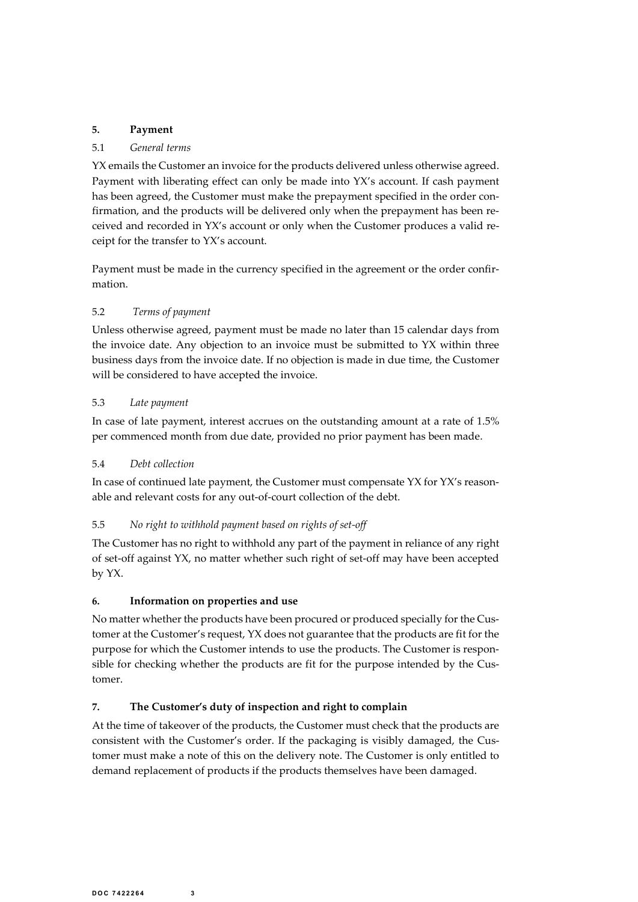# 5. Payment

#### 5.1 General terms

YX emails the Customer an invoice for the products delivered unless otherwise agreed. Payment with liberating effect can only be made into YX's account. If cash payment has been agreed, the Customer must make the prepayment specified in the order confirmation, and the products will be delivered only when the prepayment has been received and recorded in YX's account or only when the Customer produces a valid receipt for the transfer to YX's account.

Payment must be made in the currency specified in the agreement or the order confirmation.

## 5.2 Terms of payment

Unless otherwise agreed, payment must be made no later than 15 calendar days from the invoice date. Any objection to an invoice must be submitted to YX within three business days from the invoice date. If no objection is made in due time, the Customer will be considered to have accepted the invoice.

#### 5.3 Late payment

In case of late payment, interest accrues on the outstanding amount at a rate of 1.5% per commenced month from due date, provided no prior payment has been made.

#### 5.4 Debt collection

In case of continued late payment, the Customer must compensate YX for YX's reasonable and relevant costs for any out-of-court collection of the debt.

#### 5.5 No right to withhold payment based on rights of set-off

The Customer has no right to withhold any part of the payment in reliance of any right of set-off against YX, no matter whether such right of set-off may have been accepted by YX.

# 6. Information on properties and use

No matter whether the products have been procured or produced specially for the Customer at the Customer's request, YX does not guarantee that the products are fit for the purpose for which the Customer intends to use the products. The Customer is responsible for checking whether the products are fit for the purpose intended by the Customer.

#### 7. The Customer's duty of inspection and right to complain

At the time of takeover of the products, the Customer must check that the products are consistent with the Customer's order. If the packaging is visibly damaged, the Customer must make a note of this on the delivery note. The Customer is only entitled to demand replacement of products if the products themselves have been damaged.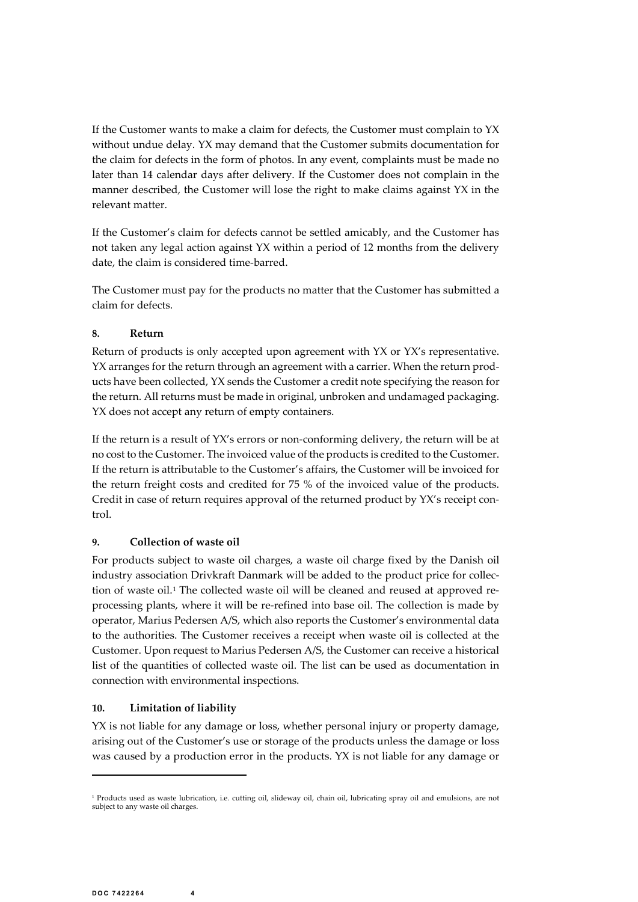If the Customer wants to make a claim for defects, the Customer must complain to YX without undue delay. YX may demand that the Customer submits documentation for the claim for defects in the form of photos. In any event, complaints must be made no later than 14 calendar days after delivery. If the Customer does not complain in the manner described, the Customer will lose the right to make claims against YX in the relevant matter.

If the Customer's claim for defects cannot be settled amicably, and the Customer has not taken any legal action against YX within a period of 12 months from the delivery date, the claim is considered time-barred.

The Customer must pay for the products no matter that the Customer has submitted a claim for defects.

#### 8. Return

Return of products is only accepted upon agreement with YX or YX's representative. YX arranges for the return through an agreement with a carrier. When the return products have been collected, YX sends the Customer a credit note specifying the reason for the return. All returns must be made in original, unbroken and undamaged packaging. YX does not accept any return of empty containers.

If the return is a result of YX's errors or non-conforming delivery, the return will be at no cost to the Customer. The invoiced value of the products is credited to the Customer. If the return is attributable to the Customer's affairs, the Customer will be invoiced for the return freight costs and credited for 75 % of the invoiced value of the products. Credit in case of return requires approval of the returned product by YX's receipt control.

# 9. Collection of waste oil

For products subject to waste oil charges, a waste oil charge fixed by the Danish oil industry association Drivkraft Danmark will be added to the product price for collection of waste oil.<sup>1</sup> The collected waste oil will be cleaned and reused at approved reprocessing plants, where it will be re-refined into base oil. The collection is made by operator, Marius Pedersen A/S, which also reports the Customer's environmental data to the authorities. The Customer receives a receipt when waste oil is collected at the Customer. Upon request to Marius Pedersen A/S, the Customer can receive a historical list of the quantities of collected waste oil. The list can be used as documentation in connection with environmental inspections.

# 10. Limitation of liability

YX is not liable for any damage or loss, whether personal injury or property damage, arising out of the Customer's use or storage of the products unless the damage or loss was caused by a production error in the products. YX is not liable for any damage or

<sup>&</sup>lt;sup>1</sup> Products used as waste lubrication, i.e. cutting oil, slideway oil, chain oil, lubricating spray oil and emulsions, are not subject to any waste oil charges.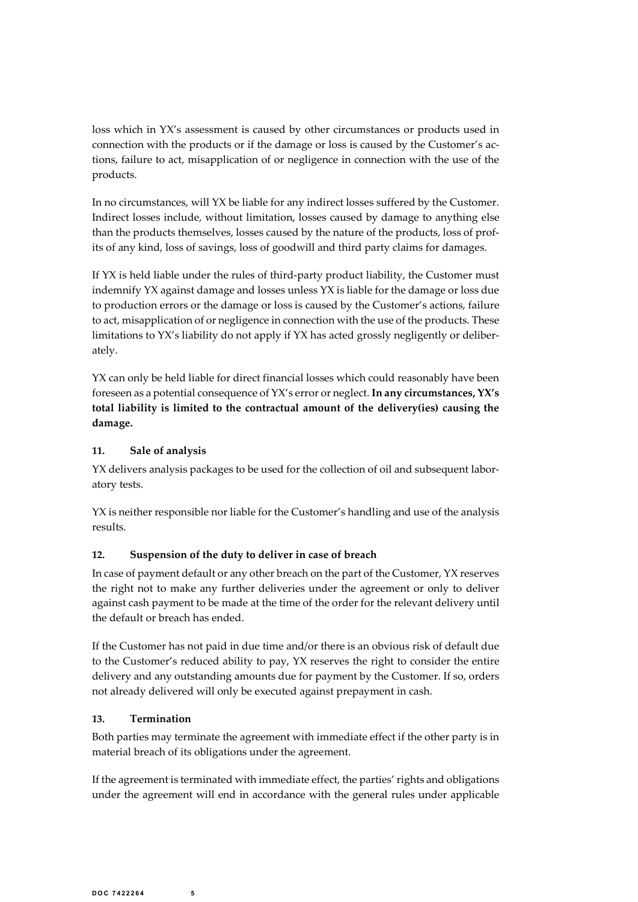loss which in YX's assessment is caused by other circumstances or products used in connection with the products or if the damage or loss is caused by the Customer's actions, failure to act, misapplication of or negligence connection with the products or if the damage or loss is caused by the Customer's actions, failure to act, misapplication of or negligence in connection with the use of the products.

In no circumstances, will YX be liable for any indirect losses suffered by the Customer. Indirect losses include, without limitation, losses caused by damage to anything else than the products themselves, losses caused by the nature of the products, loss of profits of any kind, loss of savings, loss of goodwill and third party claims for damages.

If YX is held liable under the rules of third-party product liability, the Customer must indemnify YX against damage and losses unless YX is liable for the damage or loss due to production errors or the damage or loss is caused by the Customer's actions, failure to act, misapplication of or negligence in connection with the use of the products. These limitations to YX's liability do not apply if YX has acted grossly negligently or deliberately.

YX can only be held liable for direct financial losses which could reasonably have been foreseen as a potential consequence of YX's error or neglect. In any circumstances, YX's total liability is limited to the contractual amount of the delivery(ies) causing the damage.

#### 11. Sale of analysis

YX delivers analysis packages to be used for the collection of oil and subsequent laboratory tests.

YX is neither responsible nor liable for the Customer's handling and use of the analysis results.

# 12. Suspension of the duty to deliver in case of breach

In case of payment default or any other breach on the part of the Customer, YX reserves the right not to make any further deliveries under the agreement or only to deliver against cash payment to be made at the time of the order for the relevant delivery until the default or breach has ended.

If the Customer has not paid in due time and/or there is an obvious risk of default due to the Customer's reduced ability to pay, YX reserves the right to consider the entire delivery and any outstanding amounts due for payment by the Customer. If so, orders not already delivered will only be executed against prepayment in cash.

#### 13. Termination

Both parties may terminate the agreement with immediate effect if the other party is in material breach of its obligations under the agreement.

If the agreement is terminated with immediate effect, the parties' rights and obligations under the agreement will end in accordance with the general rules under applicable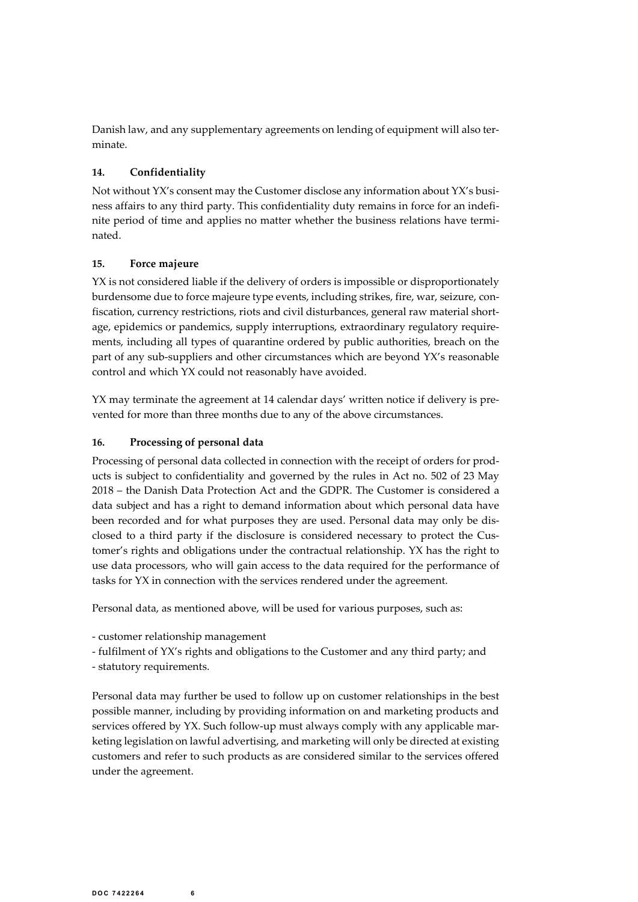Danish law, and any supplementary agreements on lending of equipment will also terminate.<br> **14.** Confi**dentiality**<br>
Not without YX's consent may the Customer disclose any information about YX's busi-<br>
ness affairs to any t minate.

# 14. Confidentiality

Not without YX's consent may the Customer disclose any information about YX's business affairs to any third party. This confidentiality duty remains in force for an indefinite period of time and applies no matter whether the business relations have terminated.

## 15. Force majeure

YX is not considered liable if the delivery of orders is impossible or disproportionately burdensome due to force majeure type events, including strikes, fire, war, seizure, confiscation, currency restrictions, riots and civil disturbances, general raw material shortage, epidemics or pandemics, supply interruptions, extraordinary regulatory requirements, including all types of quarantine ordered by public authorities, breach on the part of any sub-suppliers and other circumstances which are beyond YX's reasonable control and which YX could not reasonably have avoided.

YX may terminate the agreement at 14 calendar days' written notice if delivery is prevented for more than three months due to any of the above circumstances.

## 16. Processing of personal data

Processing of personal data collected in connection with the receipt of orders for products is subject to confidentiality and governed by the rules in Act no. 502 of 23 May 2018 – the Danish Data Protection Act and the GDPR. The Customer is considered a data subject and has a right to demand information about which personal data have been recorded and for what purposes they are used. Personal data may only be disclosed to a third party if the disclosure is considered necessary to protect the Customer's rights and obligations under the contractual relationship. YX has the right to use data processors, who will gain access to the data required for the performance of tasks for YX in connection with the services rendered under the agreement.

Personal data, as mentioned above, will be used for various purposes, such as:

- customer relationship management<br>- fulfilment of YX's rights and obligations to the Customer and any third party; and

- statutory requirements.

Personal data may further be used to follow up on customer relationships in the best possible manner, including by providing information on and marketing products and services offered by YX. Such follow-up must always comply with any applicable marketing legislation on lawful advertising, and marketing will only be directed at existing customers and refer to such products as are considered similar to the services offered under the agreement.